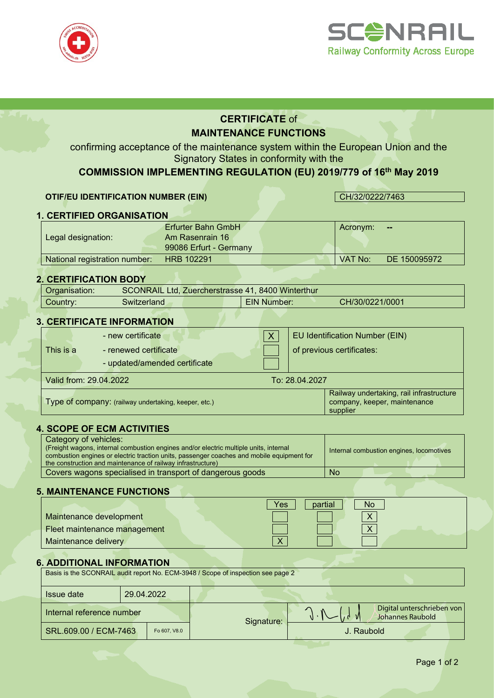



# **CERTIFICATE** of **MAINTENANCE FUNCTIONS**

confirming acceptance of the maintenance system within the European Union and the Signatory States in conformity with the

**COMMISSION IMPLEMENTING REGULATION (EU) 2019/779 of 16th May 2019**

### **OTIF/EU IDENTIFICATION NUMBER (EIN)** CH/32/0222/7463

# **1. CERTIFIED ORGANISATION**

|                               | Erfurter Bahn GmbH     | Acronym: | --           |
|-------------------------------|------------------------|----------|--------------|
| Legal designation:            | Am Rasenrain 16        |          |              |
|                               | 99086 Erfurt - Germany |          |              |
| National registration number: | <b>HRB 102291</b>      | VAT No:  | DE 150095972 |

#### **2. CERTIFICATION BODY**

| Organisation: |              | SCONRAIL Ltd, Zuercherstrasse 41, 8400 Winterthur |                 |
|---------------|--------------|---------------------------------------------------|-----------------|
| Country:      | Switzerland. | <b>EIN Number:</b>                                | CH/30/0221/0001 |
|               |              |                                                   |                 |

### **3. CERTIFICATE INFORMATION**

|                        | - new certificate                                    | EU Identification Number (EIN)                                                       |
|------------------------|------------------------------------------------------|--------------------------------------------------------------------------------------|
| This is a              | - renewed certificate                                | of previous certificates:                                                            |
|                        | - updated/amended certificate                        |                                                                                      |
| Valid from: 29.04.2022 |                                                      | To: 28.04.2027                                                                       |
|                        | Type of company: (railway undertaking, keeper, etc.) | Railway undertaking, rail infrastructure<br>company, keeper, maintenance<br>supplier |

#### **4. SCOPE OF ECM ACTIVITIES**

| Category of vehicles:<br>(Freight wagons, internal combustion engines and/or electric multiple units, internal<br>combustion engines or electric traction units, passenger coaches and mobile equipment for<br>the construction and maintenance of railway infrastructure) | Internal combustion engines, locomotives |
|----------------------------------------------------------------------------------------------------------------------------------------------------------------------------------------------------------------------------------------------------------------------------|------------------------------------------|
| Covers wagons specialised in transport of dangerous goods                                                                                                                                                                                                                  | <b>No</b>                                |

# **5. MAINTENANCE FUNCTIONS**

|                              | Yes<br>No<br>partial |
|------------------------------|----------------------|
| Maintenance development      |                      |
| Fleet maintenance management |                      |
| Maintenance delivery         | $\vee$               |

### **6. ADDITIONAL INFORMATION**

| Basis is the SCONRAIL audit report No. ECM-3948 / Scope of inspection see page 2 |            |            |                                                |  |  |  |
|----------------------------------------------------------------------------------|------------|------------|------------------------------------------------|--|--|--|
| <b>Issue date</b>                                                                | 29.04.2022 |            |                                                |  |  |  |
| Internal reference number                                                        |            | Signature: | Digital unterschrieben von<br>Johannes Raubold |  |  |  |
| SRL.609.00 / ECM-7463<br>Fo 607, V8.0                                            |            |            | J. Raubold                                     |  |  |  |